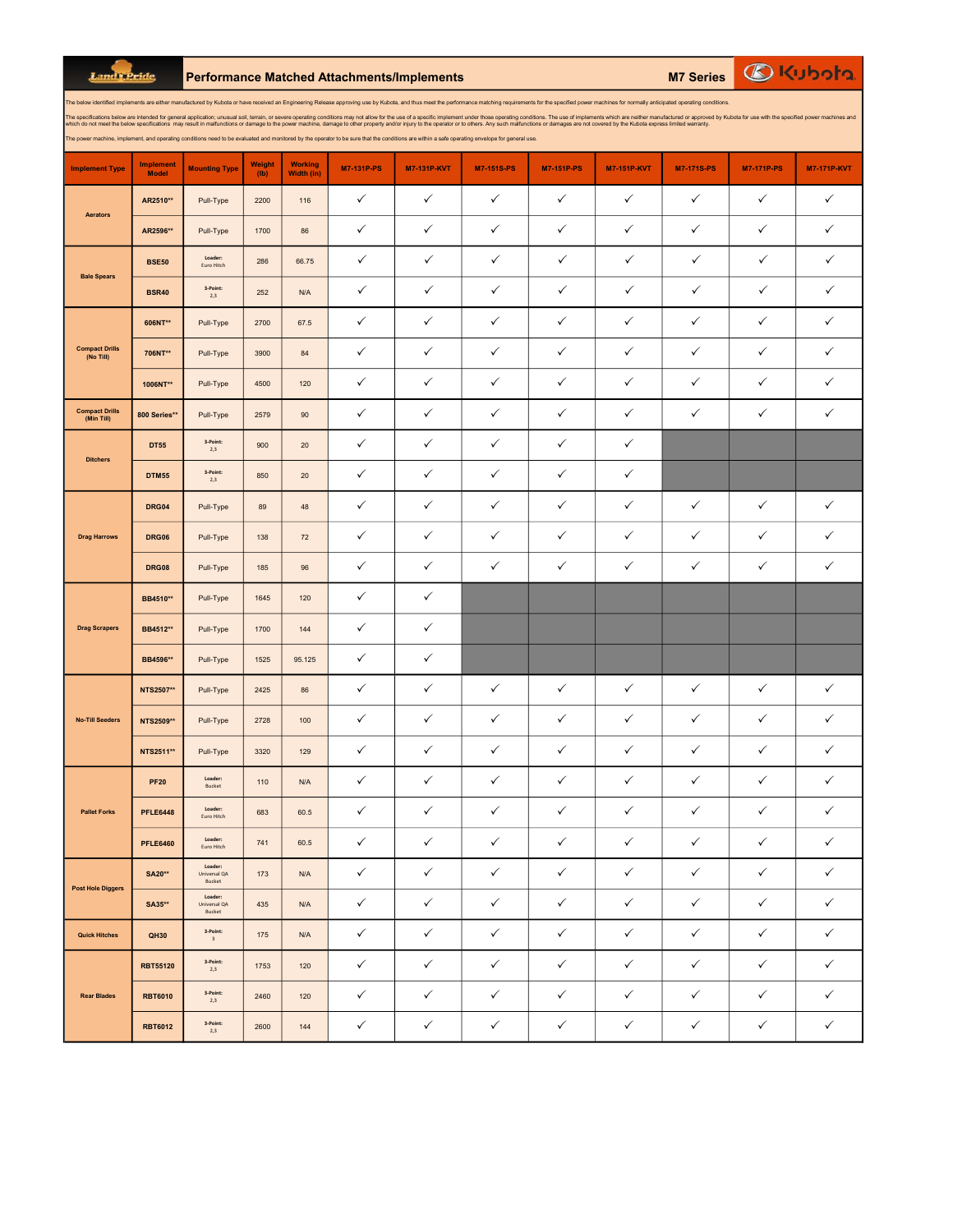Land Pride

RBT6012 3-Point:

Performance Matched Attachments/Implements M7 Series

| The below identified implements are either manufactured by Kubota or have received an Engineering Release approving use by Kubota, and thus meet the performance matching requirements for the specified power machines for no<br>The specifications below are intended for general application; unusual soil, terrain, or severe operating conditions may not allow for the use of a specific implement under those operating conditions. The use of implements<br>which do not meet the below specifications may result in malfunctions or damage to the power machine, damage to other property and/or injury to the operator or to others. Any such malfunctions or damages are not covered by<br>The power machine, implement, and operating conditions need to be evaluated and monitored by the operator to be sure that the conditions are within a safe operating envelope for general use. |                                  |                                       |                       |                              |                   |                    |                   |                   |                    |                   |                   |                    |
|------------------------------------------------------------------------------------------------------------------------------------------------------------------------------------------------------------------------------------------------------------------------------------------------------------------------------------------------------------------------------------------------------------------------------------------------------------------------------------------------------------------------------------------------------------------------------------------------------------------------------------------------------------------------------------------------------------------------------------------------------------------------------------------------------------------------------------------------------------------------------------------------------|----------------------------------|---------------------------------------|-----------------------|------------------------------|-------------------|--------------------|-------------------|-------------------|--------------------|-------------------|-------------------|--------------------|
| <b>Implement Type</b>                                                                                                                                                                                                                                                                                                                                                                                                                                                                                                                                                                                                                                                                                                                                                                                                                                                                                | <b>Implement</b><br><b>Model</b> | <b>Mounting Type</b>                  | <b>Weight</b><br>(1b) | <b>Working</b><br>Width (in) | <b>M7-131P-PS</b> | <b>M7-131P-KVT</b> | <b>M7-151S-PS</b> | <b>M7-151P-PS</b> | <b>M7-151P-KVT</b> | <b>M7-171S-PS</b> | <b>M7-171P-PS</b> | <b>M7-171P-KVT</b> |
| Aerators                                                                                                                                                                                                                                                                                                                                                                                                                                                                                                                                                                                                                                                                                                                                                                                                                                                                                             | AR2510**                         | Pull-Type                             | 2200                  | 116                          | $\checkmark$      | $\checkmark$       | $\checkmark$      | ✓                 | $\checkmark$       | $\checkmark$      | ✓                 | $\checkmark$       |
|                                                                                                                                                                                                                                                                                                                                                                                                                                                                                                                                                                                                                                                                                                                                                                                                                                                                                                      | AR2596**                         | Pull-Type                             | 1700                  | 86                           | $\checkmark$      | $\checkmark$       | $\checkmark$      | ✓                 | $\checkmark$       | $\checkmark$      | $\checkmark$      | $\checkmark$       |
| <b>Bale Spears</b>                                                                                                                                                                                                                                                                                                                                                                                                                                                                                                                                                                                                                                                                                                                                                                                                                                                                                   | <b>BSE50</b>                     | Loader:<br>Euro Hitch                 | 286                   | 66.75                        | $\checkmark$      | $\checkmark$       | ✓                 | $\checkmark$      | $\checkmark$       | $\checkmark$      | ✓                 | $\checkmark$       |
|                                                                                                                                                                                                                                                                                                                                                                                                                                                                                                                                                                                                                                                                                                                                                                                                                                                                                                      | <b>BSR40</b>                     | 3-Point:<br>2,3                       | 252                   | N/A                          | $\checkmark$      | $\checkmark$       | $\checkmark$      | $\checkmark$      | $\checkmark$       | $\checkmark$      | ✓                 | ✓                  |
|                                                                                                                                                                                                                                                                                                                                                                                                                                                                                                                                                                                                                                                                                                                                                                                                                                                                                                      | 606NT**                          | Pull-Type                             | 2700                  | 67.5                         | ✓                 | ✓                  | $\checkmark$      | ✓                 | ✓                  | ✓                 | ✓                 | ✓                  |
| <b>Compact Drills</b><br>(No Till)                                                                                                                                                                                                                                                                                                                                                                                                                                                                                                                                                                                                                                                                                                                                                                                                                                                                   | 706NT**                          | Pull-Type                             | 3900                  | 84                           | $\checkmark$      | ✓                  | $\checkmark$      | ✓                 | ✓                  | $\checkmark$      | ✓                 | $\checkmark$       |
|                                                                                                                                                                                                                                                                                                                                                                                                                                                                                                                                                                                                                                                                                                                                                                                                                                                                                                      | 1006NT**                         | Pull-Type                             | 4500                  | 120                          | $\checkmark$      | $\checkmark$       | $\checkmark$      | ✓                 | ✓                  | $\checkmark$      | $\checkmark$      | $\checkmark$       |
| <b>Compact Drills</b><br>(Min Till)                                                                                                                                                                                                                                                                                                                                                                                                                                                                                                                                                                                                                                                                                                                                                                                                                                                                  | 800 Series**                     | Pull-Type                             | 2579                  | 90                           | $\checkmark$      | ✓                  | $\checkmark$      | ✓                 | ✓                  | $\checkmark$      | ✓                 | $\checkmark$       |
|                                                                                                                                                                                                                                                                                                                                                                                                                                                                                                                                                                                                                                                                                                                                                                                                                                                                                                      | <b>DT55</b>                      | 3-Point:<br>2,3                       | 900                   | $20\,$                       | $\checkmark$      | $\checkmark$       | $\checkmark$      | ✓                 | ✓                  |                   |                   |                    |
| <b>Ditchers</b>                                                                                                                                                                                                                                                                                                                                                                                                                                                                                                                                                                                                                                                                                                                                                                                                                                                                                      | <b>DTM55</b>                     | 3-Point:<br>2,3                       | 850                   | $20\,$                       | $\checkmark$      | $\checkmark$       | $\checkmark$      | ✓                 | ✓                  |                   |                   |                    |
| <b>Drag Harrows</b>                                                                                                                                                                                                                                                                                                                                                                                                                                                                                                                                                                                                                                                                                                                                                                                                                                                                                  | DRG04                            | Pull-Type                             | 89                    | 48                           | $\checkmark$      | $\checkmark$       | $\checkmark$      | $\checkmark$      | $\checkmark$       | $\checkmark$      | ✓                 | $\checkmark$       |
|                                                                                                                                                                                                                                                                                                                                                                                                                                                                                                                                                                                                                                                                                                                                                                                                                                                                                                      | <b>DRG06</b>                     | Pull-Type                             | 138                   | 72                           | ✓                 | $\checkmark$       | $\checkmark$      | ✓                 | ✓                  | $\checkmark$      | ✓                 | $\checkmark$       |
|                                                                                                                                                                                                                                                                                                                                                                                                                                                                                                                                                                                                                                                                                                                                                                                                                                                                                                      | <b>DRG08</b>                     | Pull-Type                             | 185                   | 96                           | $\checkmark$      | ✓                  | $\checkmark$      | ✓                 | ✓                  | $\checkmark$      | ✓                 | $\checkmark$       |
| <b>Drag Scrapers</b>                                                                                                                                                                                                                                                                                                                                                                                                                                                                                                                                                                                                                                                                                                                                                                                                                                                                                 | BB4510**                         | Pull-Type                             | 1645                  | 120                          | $\checkmark$      | $\checkmark$       |                   |                   |                    |                   |                   |                    |
|                                                                                                                                                                                                                                                                                                                                                                                                                                                                                                                                                                                                                                                                                                                                                                                                                                                                                                      | BB4512**                         | Pull-Type                             | 1700                  | 144                          | $\checkmark$      | ✓                  |                   |                   |                    |                   |                   |                    |
|                                                                                                                                                                                                                                                                                                                                                                                                                                                                                                                                                                                                                                                                                                                                                                                                                                                                                                      | BB4596**                         | Pull-Type                             | 1525                  | 95.125                       | $\checkmark$      | $\checkmark$       |                   |                   |                    |                   |                   |                    |
| <b>No-Till Seeders</b>                                                                                                                                                                                                                                                                                                                                                                                                                                                                                                                                                                                                                                                                                                                                                                                                                                                                               | NTS2507**                        | Pull-Type                             | 2425                  | 86                           | $\checkmark$      | $\checkmark$       | $\checkmark$      | ✓                 | ✓                  | $\checkmark$      | $\checkmark$      | $\checkmark$       |
|                                                                                                                                                                                                                                                                                                                                                                                                                                                                                                                                                                                                                                                                                                                                                                                                                                                                                                      | NTS2509**                        | Pull-Type                             | 2728                  | 100                          | $\checkmark$      | $\checkmark$       | $\checkmark$      | ✓                 | ✓                  | $\checkmark$      | ✓                 | $\checkmark$       |
|                                                                                                                                                                                                                                                                                                                                                                                                                                                                                                                                                                                                                                                                                                                                                                                                                                                                                                      | NTS2511**                        | Pull-Type                             | 3320                  | 129                          | $\checkmark$      | $\checkmark$       | $\checkmark$      | ✓                 | ✓                  | $\checkmark$      | $\checkmark$      | $\checkmark$       |
| <b>Pallet Forks</b>                                                                                                                                                                                                                                                                                                                                                                                                                                                                                                                                                                                                                                                                                                                                                                                                                                                                                  | <b>PF20</b>                      | Loader:<br><b>Bucket</b>              | 110                   | N/A                          | ✓                 | ✓                  | ✓                 | ✓                 | ✓                  | ✓                 | ✓                 | $\checkmark$       |
|                                                                                                                                                                                                                                                                                                                                                                                                                                                                                                                                                                                                                                                                                                                                                                                                                                                                                                      | <b>PFLE6448</b>                  | Loader:<br>Euro Hitch                 | 683                   | 60.5                         | $\checkmark$      | $\checkmark$       | $\checkmark$      | $\checkmark$      | $\checkmark$       | $\checkmark$      | $\checkmark$      | $\checkmark$       |
|                                                                                                                                                                                                                                                                                                                                                                                                                                                                                                                                                                                                                                                                                                                                                                                                                                                                                                      | <b>PFLE6460</b>                  | Loader:<br>Euro Hitch                 | 741                   | 60.5                         | $\checkmark$      | $\checkmark$       | $\checkmark$      | $\checkmark$      | ✓                  | $\checkmark$      | ✓                 | $\checkmark$       |
| <b>Post Hole Diggers</b>                                                                                                                                                                                                                                                                                                                                                                                                                                                                                                                                                                                                                                                                                                                                                                                                                                                                             | <b>SA20**</b>                    | Loader:<br>Universal QA<br>Bucket     | 173                   | N/A                          | $\checkmark$      | $\checkmark$       | $\checkmark$      | ✓                 | ✓                  | $\checkmark$      | ✓                 | $\checkmark$       |
|                                                                                                                                                                                                                                                                                                                                                                                                                                                                                                                                                                                                                                                                                                                                                                                                                                                                                                      | SA35**                           | Loader:<br>Universal QA<br>Bucket     | 435                   | N/A                          | $\checkmark$      | $\checkmark$       | $\checkmark$      | ✓                 | ✓                  | $\checkmark$      | $\checkmark$      | $\checkmark$       |
| <b>Quick Hitches</b>                                                                                                                                                                                                                                                                                                                                                                                                                                                                                                                                                                                                                                                                                                                                                                                                                                                                                 | QH30                             | 3-Point:<br>$\ensuremath{\mathsf{3}}$ | 175                   | N/A                          | $\checkmark$      | $\checkmark$       | $\checkmark$      | $\checkmark$      | $\checkmark$       | $\checkmark$      | $\checkmark$      | $\checkmark$       |
| <b>Rear Blades</b>                                                                                                                                                                                                                                                                                                                                                                                                                                                                                                                                                                                                                                                                                                                                                                                                                                                                                   | <b>RBT55120</b>                  | 3-Point:<br>2,3                       | 1753                  | 120                          | $\checkmark$      | $\checkmark$       | $\checkmark$      | $\checkmark$      | ✓                  | $\checkmark$      | $\checkmark$      | $\checkmark$       |
|                                                                                                                                                                                                                                                                                                                                                                                                                                                                                                                                                                                                                                                                                                                                                                                                                                                                                                      | <b>RBT6010</b>                   | 3-Point:<br>2,3                       | 2460                  | 120                          | $\checkmark$      | $\checkmark$       | $\checkmark$      | $\checkmark$      | $\checkmark$       | $\checkmark$      | $\checkmark$      | $\checkmark$       |
|                                                                                                                                                                                                                                                                                                                                                                                                                                                                                                                                                                                                                                                                                                                                                                                                                                                                                                      | <b>RBT6012</b>                   | 3-Point:<br>2,3                       | 2600                  | 144                          | $\checkmark$      | $\checkmark$       | $\checkmark$      | $\checkmark$      | $\checkmark$       | $\checkmark$      | $\checkmark$      | $\checkmark$       |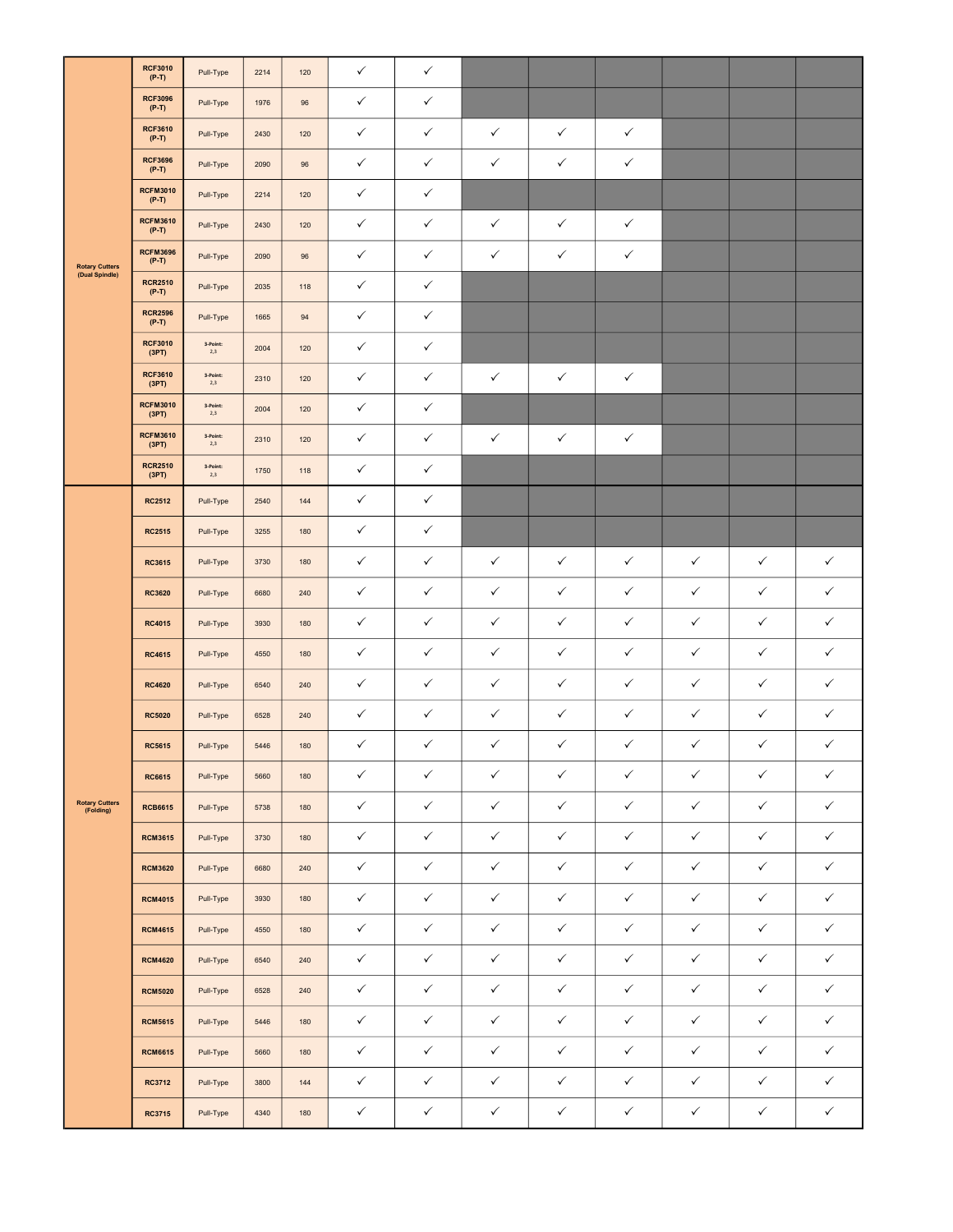| <b>Rotary Cutters</b><br>(Dual Spindle) | <b>RCF3010</b><br>$(P-T)$  | Pull-Type       | 2214 | 120 | $\checkmark$ | $\checkmark$ |              |              |              |              |              |              |
|-----------------------------------------|----------------------------|-----------------|------|-----|--------------|--------------|--------------|--------------|--------------|--------------|--------------|--------------|
|                                         | <b>RCF3096</b><br>$(P-T)$  | Pull-Type       | 1976 | 96  | $\checkmark$ | $\checkmark$ |              |              |              |              |              |              |
|                                         | <b>RCF3610</b><br>$(P-T)$  | Pull-Type       | 2430 | 120 | ✓            | $\checkmark$ | $\checkmark$ | $\checkmark$ | $\checkmark$ |              |              |              |
|                                         | <b>RCF3696</b><br>$(P-T)$  | Pull-Type       | 2090 | 96  | ✓            | $\checkmark$ | $\checkmark$ | $\checkmark$ | $\checkmark$ |              |              |              |
|                                         | <b>RCFM3010</b><br>$(P-T)$ | Pull-Type       | 2214 | 120 | $\checkmark$ | $\checkmark$ |              |              |              |              |              |              |
|                                         | <b>RCFM3610</b><br>$(P-T)$ | Pull-Type       | 2430 | 120 | $\checkmark$ | $\checkmark$ | $\checkmark$ | $\checkmark$ | $\checkmark$ |              |              |              |
|                                         | <b>RCFM3696</b><br>$(P-T)$ | Pull-Type       | 2090 | 96  | ✓            | $\checkmark$ | ✓            | $\checkmark$ | $\checkmark$ |              |              |              |
|                                         | <b>RCR2510</b><br>$(P-T)$  | Pull-Type       | 2035 | 118 | $\checkmark$ | $\checkmark$ |              |              |              |              |              |              |
|                                         | <b>RCR2596</b><br>$(P-T)$  | Pull-Type       | 1665 | 94  | $\checkmark$ | $\checkmark$ |              |              |              |              |              |              |
|                                         | <b>RCF3010</b><br>(3PT)    | 3-Point:<br>2,3 | 2004 | 120 | ✓            | $\checkmark$ |              |              |              |              |              |              |
|                                         | <b>RCF3610</b><br>(3PT)    | 3-Point:<br>2,3 | 2310 | 120 | ✓            | $\checkmark$ | $\checkmark$ | $\checkmark$ | $\checkmark$ |              |              |              |
|                                         | <b>RCFM3010</b><br>(3PT)   | 3-Point:<br>2,3 | 2004 | 120 | $\checkmark$ | $\checkmark$ |              |              |              |              |              |              |
|                                         | <b>RCFM3610</b><br>(3PT)   | 3-Point:<br>2,3 | 2310 | 120 | $\checkmark$ | $\checkmark$ | $\checkmark$ | $\checkmark$ | $\checkmark$ |              |              |              |
|                                         | <b>RCR2510</b><br>(3PT)    | 3-Point:<br>2,3 | 1750 | 118 | ✓            | $\checkmark$ |              |              |              |              |              |              |
|                                         | <b>RC2512</b>              | Pull-Type       | 2540 | 144 | $\checkmark$ | $\checkmark$ |              |              |              |              |              |              |
|                                         | <b>RC2515</b>              | Pull-Type       | 3255 | 180 | $\checkmark$ | $\checkmark$ |              |              |              |              |              |              |
|                                         | RC3615                     | Pull-Type       | 3730 | 180 | $\checkmark$ | $\checkmark$ | $\checkmark$ | $\checkmark$ | $\checkmark$ | $\checkmark$ | $\checkmark$ | $\checkmark$ |
|                                         | <b>RC3620</b>              | Pull-Type       | 6680 | 240 | ✓            | $\checkmark$ | $\checkmark$ | $\checkmark$ | $\checkmark$ | $\checkmark$ | $\checkmark$ | ✓            |
|                                         | <b>RC4015</b>              | Pull-Type       | 3930 | 180 | $\checkmark$ | $\checkmark$ | $\checkmark$ | $\checkmark$ | $\checkmark$ | $\checkmark$ | $\checkmark$ | $\checkmark$ |
|                                         | <b>RC4615</b>              | Pull-Type       | 4550 | 180 | $\checkmark$ | $\checkmark$ | $\checkmark$ | $\checkmark$ | $\checkmark$ | $\checkmark$ | $\checkmark$ | $\checkmark$ |
|                                         | <b>RC4620</b>              | Pull-Type       | 6540 | 240 | ✓            | $\checkmark$ | $\checkmark$ | $\checkmark$ | $\checkmark$ | $\checkmark$ | $\checkmark$ | $\checkmark$ |
|                                         | <b>RC5020</b>              | Pull-Type       | 6528 | 240 | $\checkmark$ | $\checkmark$ | $\checkmark$ | $\checkmark$ | $\checkmark$ | $\checkmark$ | $\checkmark$ | $\checkmark$ |
|                                         | <b>RC5615</b>              | Pull-Type       | 5446 | 180 | $\checkmark$ | $\checkmark$ | $\checkmark$ | $\checkmark$ | $\checkmark$ | $\checkmark$ | $\checkmark$ | $\checkmark$ |
|                                         | RC6615                     | Pull-Type       | 5660 | 180 | $\checkmark$ | $\checkmark$ | $\checkmark$ | $\checkmark$ | $\checkmark$ | $\checkmark$ | $\checkmark$ | $\checkmark$ |
| <b>Rotary Cutters</b><br>(Folding)      | <b>RCB6615</b>             | Pull-Type       | 5738 | 180 | $\checkmark$ | $\checkmark$ | $\checkmark$ | $\checkmark$ | $\checkmark$ | $\checkmark$ | $\checkmark$ | $\checkmark$ |
|                                         | <b>RCM3615</b>             | Pull-Type       | 3730 | 180 | $\checkmark$ | $\checkmark$ | $\checkmark$ | $\checkmark$ | $\checkmark$ | $\checkmark$ | $\checkmark$ | $\checkmark$ |
|                                         | <b>RCM3620</b>             | Pull-Type       | 6680 | 240 | $\checkmark$ | $\checkmark$ | $\checkmark$ | $\checkmark$ | $\checkmark$ | $\checkmark$ | $\checkmark$ | $\checkmark$ |
|                                         | <b>RCM4015</b>             | Pull-Type       | 3930 | 180 | $\checkmark$ | $\checkmark$ | $\checkmark$ | $\checkmark$ | $\checkmark$ | $\checkmark$ | $\checkmark$ | $\checkmark$ |
|                                         | <b>RCM4615</b>             | Pull-Type       | 4550 | 180 | $\checkmark$ | $\checkmark$ | $\checkmark$ | $\checkmark$ | $\checkmark$ | $\checkmark$ | $\checkmark$ | $\checkmark$ |
|                                         | <b>RCM4620</b>             | Pull-Type       | 6540 | 240 | $\checkmark$ | $\checkmark$ | $\checkmark$ | $\checkmark$ | $\checkmark$ | $\checkmark$ | $\checkmark$ | $\checkmark$ |
|                                         | <b>RCM5020</b>             | Pull-Type       | 6528 | 240 | $\checkmark$ | $\checkmark$ | $\checkmark$ | $\checkmark$ | $\checkmark$ | $\checkmark$ | $\checkmark$ | $\checkmark$ |
|                                         | <b>RCM5615</b>             | Pull-Type       | 5446 | 180 | $\checkmark$ | $\checkmark$ | $\checkmark$ | $\checkmark$ | $\checkmark$ | $\checkmark$ | $\checkmark$ | $\checkmark$ |
|                                         | <b>RCM6615</b>             | Pull-Type       | 5660 | 180 | $\checkmark$ | $\checkmark$ | $\checkmark$ | $\checkmark$ | $\checkmark$ | $\checkmark$ | $\checkmark$ | $\checkmark$ |
|                                         | RC3712                     | Pull-Type       | 3800 | 144 | $\checkmark$ | $\checkmark$ | $\checkmark$ | $\checkmark$ | $\checkmark$ | $\checkmark$ | $\checkmark$ | $\checkmark$ |
|                                         | <b>RC3715</b>              | Pull-Type       | 4340 | 180 | $\checkmark$ | $\checkmark$ | $\checkmark$ | $\checkmark$ | $\checkmark$ | $\checkmark$ | $\checkmark$ | $\checkmark$ |